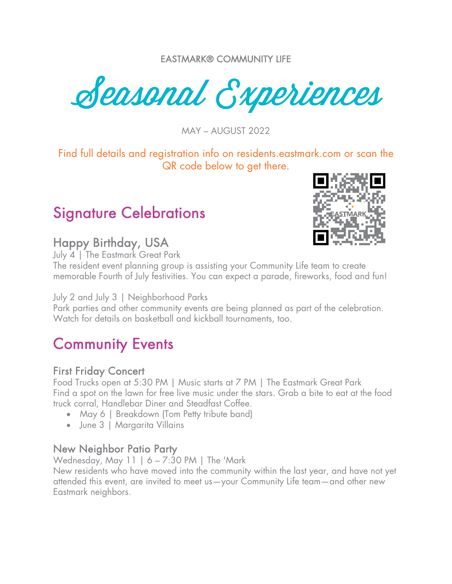EASTMARK® COMMUNITY LIFE

Seasonal Experiences

MAY – AUGUST 2022

Find full details and registration info on residents.eastmark.com or scan the QR code below to get there.

### Signature Celebrations

# **Happy Birthday, USA**<br>July 4 | The Eastmark Great Park

The resident event planning group is assisting your Community Life team to create memorable Fourth of July festivities. You can expect a parade, fireworks, food and fun!

July 2 and July 3 | Neighborhood Parks

Park parties and other community events are being planned as part of the celebration. Watch for details on basketball and kickball tournaments, too.

### Community Events

### First Friday Concert

Food Trucks open at 5:30 PM | Music starts at 7 PM | The Eastmark Great Park Find a spot on the lawn for free live music under the stars. Grab a bite to eat at the food truck corral, Handlebar Diner and Steadfast Coffee.

- May 6 | Breakdown (Tom Petty tribute band)
- June 3 | Margarita Villains

### New Neighbor Patio Party

Wednesday, May 11 | 6 – 7:30 PM | The 'Mark

New residents who have moved into the community within the last year, and have not yet attended this event, are invited to meet us—your Community Life team—and other new Eastmark neighbors.

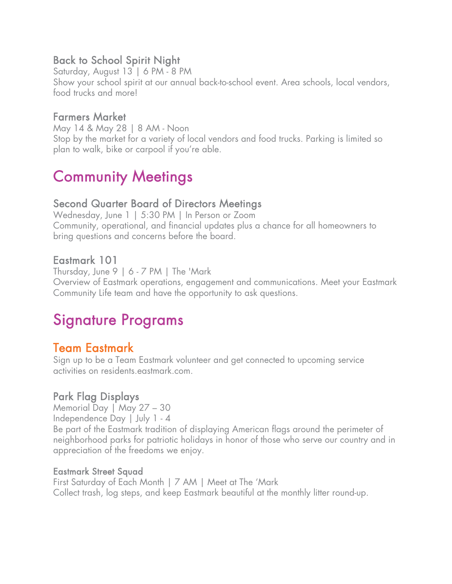### Back to School Spirit Night

Saturday, August 13 | 6 PM - 8 PM Show your school spirit at our annual back-to-school event. Area schools, local vendors, food trucks and more!

### Farmers Market

May 14 & May 28 | 8 AM - Noon Stop by the market for a variety of local vendors and food trucks. Parking is limited so plan to walk, bike or carpool if you're able.

### Community Meetings

### Second Quarter Board of Directors Meetings

Wednesday, June 1 | 5:30 PM | In Person or Zoom Community, operational, and financial updates plus a chance for all homeowners to bring questions and concerns before the board.

### Eastmark 101

Thursday, June 9 | 6 - 7 PM | The 'Mark Overview of Eastmark operations, engagement and communications. Meet your Eastmark Community Life team and have the opportunity to ask questions.

### Signature Programs

Team Eastmark<br>Sign up to be a Team Eastmark volunteer and get connected to upcoming service activities on residents.eastmark.com.

### Park Flag Displays

Memorial Day | May 27 – 30 Independence Day | July 1 - 4 Be part of the Eastmark tradition of displaying American flags around the perimeter of neighborhood parks for patriotic holidays in honor of those who serve our country and in appreciation of the freedoms we enjoy.

#### Eastmark Street Squad

First Saturday of Each Month | 7 AM | Meet at The 'Mark Collect trash, log steps, and keep Eastmark beautiful at the monthly litter round-up.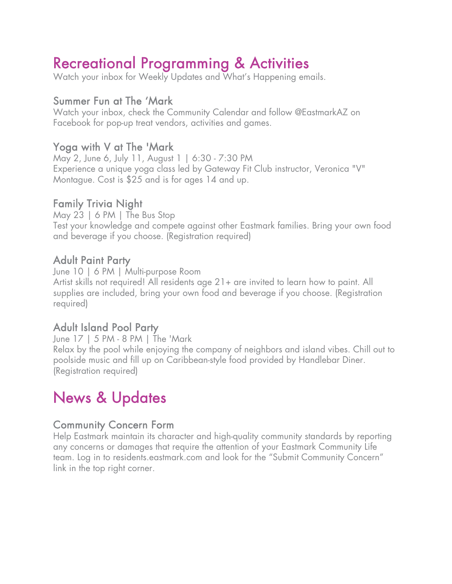# Recreational Programming & Activities<br>Watch your inbox for Weekly Updates and What's Happening emails.

### Summer Fun at The 'Mark

Watch your inbox, check the Community Calendar and follow @EastmarkAZ on Facebook for pop-up treat vendors, activities and games.

### Yoga with V at The 'Mark

May 2, June 6, July 11, August 1 | 6:30 - 7:30 PM Experience a unique yoga class led by Gateway Fit Club instructor, Veronica "V" Montague. Cost is \$25 and is for ages 14 and up.

### Family Trivia Night

May 23 | 6 PM | The Bus Stop Test your knowledge and compete against other Eastmark families. Bring your own food and beverage if you choose. (Registration required)

### Adult Paint Party

June 10 | 6 PM | Multi-purpose Room Artist skills not required! All residents age 21+ are invited to learn how to paint. All supplies are included, bring your own food and beverage if you choose. (Registration required)

### Adult Island Pool Party

June 17 | 5 PM - 8 PM | The 'Mark Relax by the pool while enjoying the company of neighbors and island vibes. Chill out to poolside music and fill up on Caribbean-style food provided by Handlebar Diner. (Registration required)

### News & Updates

### Community Concern Form

Help Eastmark maintain its character and high-quality community standards by reporting any concerns or damages that require the attention of your Eastmark Community Life team. Log in to residents.eastmark.com and look for the "Submit Community Concern" link in the top right corner.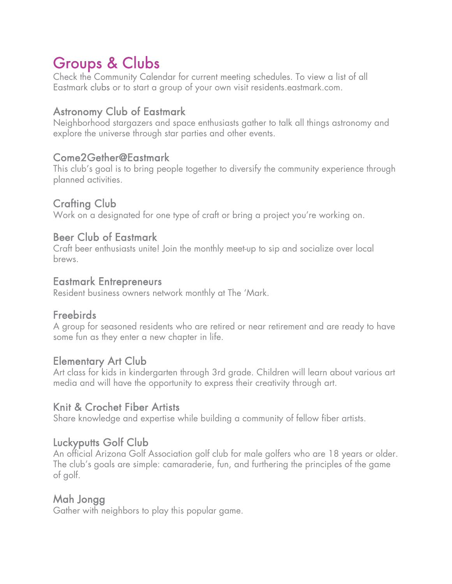## Groups & Clubs

Check the Community Calendar for current meeting schedules. To view a list of all Eastmark clubs or to start a group of your own visit residents.eastmark.com.

### Astronomy Club of Eastmark

Neighborhood stargazers and space enthusiasts gather to talk all things astronomy and explore the universe through star parties and other events.

### Come2Gether@Eastmark

This club's goal is to bring people together to diversify the community experience through planned activities.

### Crafting Club

Work on a designated for one type of craft or bring a project you're working on.

### Beer Club of Eastmark

Craft beer enthusiasts unite! Join the monthly meet-up to sip and socialize over local brews.

#### Eastmark Entrepreneurs

Resident business owners network monthly at The 'Mark.

### **Freebirds**

A group for seasoned residents who are retired or near retirement and are ready to have some fun as they enter a new chapter in life.

### Elementary Art Club

Art class for kids in kindergarten through 3rd grade. Children will learn about various art media and will have the opportunity to express their creativity through art.

### Knit & Crochet Fiber Artists

Share knowledge and expertise while building a community of fellow fiber artists.

### Luckyputts Golf Club

An official Arizona Golf Association golf club for male golfers who are 18 years or older. The club's goals are simple: camaraderie, fun, and furthering the principles of the game of golf.

### Mah Jongg

Gather with neighbors to play this popular game.